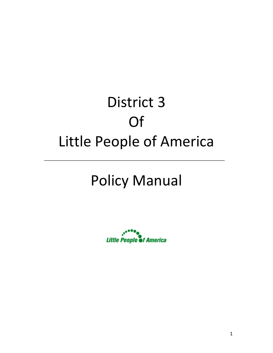# District 3 Of Little People of America

# **Policy Manual**

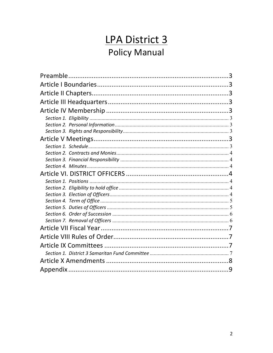# LPA District 3 **Policy Manual**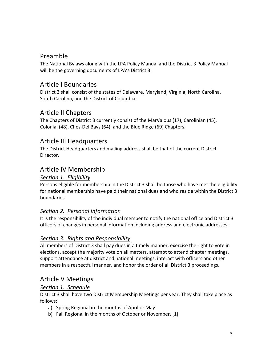# Preamble

The National Bylaws along with the LPA Policy Manual and the District 3 Policy Manual will be the governing documents of LPA's District 3.

# Article I Boundaries

District 3 shall consist of the states of Delaware, Maryland, Virginia, North Carolina, South Carolina, and the District of Columbia.

# Article II Chapters

The Chapters of District 3 currently consist of the MarValous (17), Carolinian (45), Colonial (48), Ches-Del Bays (64), and the Blue Ridge (69) Chapters.

# Article III Headquarters

The District Headquarters and mailing address shall be that of the current District Director.

# Article IV Membership

#### *Section 1. Eligibility*

Persons eligible for membership in the District 3 shall be those who have met the eligibility for national membership have paid their national dues and who reside within the District 3 boundaries. 

#### **Section 2. Personal Information**

It is the responsibility of the individual member to notify the national office and District 3 officers of changes in personal information including address and electronic addresses.

#### Section 3. Rights and Responsibility

All members of District 3 shall pay dues in a timely manner, exercise the right to vote in elections, accept the majority vote on all matters, attempt to attend chapter meetings, support attendance at district and national meetings, interact with officers and other members in a respectful manner, and honor the order of all District 3 proceedings.

# Article V Meetings

#### *Section 1. Schedule*

District 3 shall have two District Membership Meetings per year. They shall take place as follows: 

- a) Spring Regional in the months of April or May
- b) Fall Regional in the months of October or November. [1]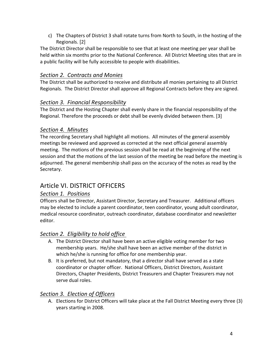c) The Chapters of District 3 shall rotate turns from North to South, in the hosting of the Regionals. [2]

The District Director shall be responsible to see that at least one meeting per year shall be held within six months prior to the National Conference. All District Meeting sites that are in a public facility will be fully accessible to people with disabilities.

### *Section 2. Contracts and Monies*

The District shall be authorized to receive and distribute all monies pertaining to all District Regionals. The District Director shall approve all Regional Contracts before they are signed.

#### *Section 3. Financial Responsibility*

The District and the Hosting Chapter shall evenly share in the financial responsibility of the Regional. Therefore the proceeds or debt shall be evenly divided between them. [3]

#### *Section 4. Minutes*

The recording Secretary shall highlight all motions. All minutes of the general assembly meetings be reviewed and approved as corrected at the next official general assembly meeting. The motions of the previous session shall be read at the beginning of the next session and that the motions of the last session of the meeting be read before the meeting is adjourned. The general membership shall pass on the accuracy of the notes as read by the Secretary.

# Article VI. DISTRICT OFFICERS

#### *Section 1. Positions*

Officers shall be Director, Assistant Director, Secretary and Treasurer. Additional officers may be elected to include a parent coordinator, teen coordinator, young adult coordinator, medical resource coordinator, outreach coordinator, database coordinator and newsletter editor.

## Section 2. Eligibility to hold office

- A. The District Director shall have been an active eligible voting member for two membership years. He/she shall have been an active member of the district in which he/she is running for office for one membership year.
- B. It is preferred, but not mandatory, that a director shall have served as a state coordinator or chapter officer. National Officers, District Directors, Assistant Directors, Chapter Presidents, District Treasurers and Chapter Treasurers may not serve dual roles.

#### *Section 3. Election of Officers*

A. Elections for District Officers will take place at the Fall District Meeting every three (3) years starting in 2008.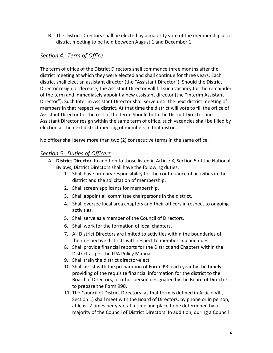B. The District Directors shall be elected by a majority vote of the membership at a district meeting to be held between August 1 and December 1.

### Section 4. Term of Office

The term of office of the District Directors shall commence three months after the district meeting at which they were elected and shall continue for three years. Each district shall elect an assistant director (the "Assistant Director"). Should the District Director resign or decease, the Assistant Director will fill such vacancy for the remainder of the term and immediately appoint a new assistant director (the "Interim Assistant Director"). Such Interim Assistant Director shall serve until the next district meeting of members in that respective district. At that time the district will vote to fill the office of Assistant Director for the rest of the term. Should both the District Director and Assistant Director resign within the same term of office, such vacancies shall be filled by election at the next district meeting of members in that district.

No officer shall serve more than two (2) consecutive terms in the same office.

#### *Section 5. Duties of Officers*

- A. District Director In addition to those listed in Article X, Section 5 of the National Bylaws, District Directors shall have the following duties:
	- 1. Shall have primary responsibility for the continuance of activities in the district and the solicitation of membership.
	- 2. Shall screen applicants for membership.
	- 3. Shall appoint all committee chairpersons in the district.
	- 4. Shall oversee local area chapters and their officers in respect to ongoing activities.
	- 5. Shall serve as a member of the Council of Directors.
	- 6. Shall work for the formation of local chapters.
	- 7. All District Directors are limited to activities within the boundaries of their respective districts with respect to membership and dues.
	- 8. Shall provide financial reports for the District and Chapters within the District as per the LPA Policy Manual.
	- 9. Shall train the district director-elect.
	- 10. Shall assist with the preparation of Form 990 each year by the timely providing of the requisite financial information for the district to the Board of Directors, or other person designated by the Board of Directors to prepare the Form 990.
	- 11. The Council of District Directors (as that term is defined in Article VIII, Section 1) shall meet with the Board of Directors, by phone or in person, at least 2 times per year, at a time and place to be determined by a majority of the Council of District Directors. In addition, during a Council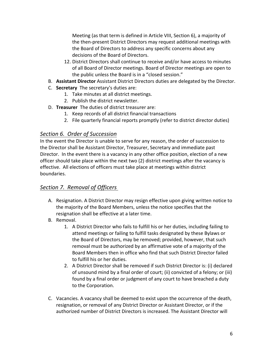Meeting (as that term is defined in Article VIII, Section 6), a majority of the then-present District Directors may request additional meetings with the Board of Directors to address any specific concerns about any decisions of the Board of Directors.

- 12. District Directors shall continue to receive and/or have access to minutes of all Board of Director meetings. Board of Director meetings are open to the public unless the Board is in a "closed session."
- B. **Assistant Director** Assistant District Directors duties are delegated by the Director.
- C. **Secretary** The secretary's duties are:
	- 1. Take minutes at all district meetings.
	- 2. Publish the district newsletter.
- D. **Treasurer** The duties of district treasurer are:
	- 1. Keep records of all district financial transactions
	- 2. File quarterly financial reports promptly (refer to district director duties)

#### *Section 6. Order of Succession*

In the event the Director is unable to serve for any reason, the order of succession to the Director shall be Assistant Director, Treasurer, Secretary and immediate past Director. In the event there is a vacancy in any other office position, election of a new officer should take place within the next two (2) district meetings after the vacancy is effective. All elections of officers must take place at meetings within district boundaries. 

#### *Section 7. Removal of Officers*

- A. Resignation. A District Director may resign effective upon giving written notice to the majority of the Board Members, unless the notice specifies that the resignation shall be effective at a later time.
- B. Removal.
	- 1. A District Director who fails to fulfill his or her duties, including failing to attend meetings or failing to fulfill tasks designated by these Bylaws or the Board of Directors, may be removed; provided, however, that such removal must be authorized by an affirmative vote of a majority of the Board Members then in office who find that such District Director failed to fulfill his or her duties.
	- 2. A District Director shall be removed if such District Director is: (i) declared of unsound mind by a final order of court; (ii) convicted of a felony; or (iii) found by a final order or judgment of any court to have breached a duty to the Corporation.
- C. Vacancies. A vacancy shall be deemed to exist upon the occurrence of the death, resignation, or removal of any District Director or Assistant Director, or if the authorized number of District Directors is increased. The Assistant Director will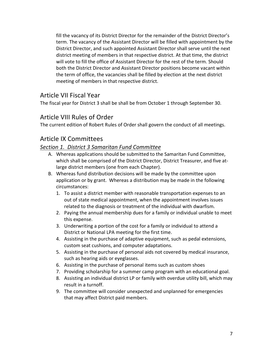fill the vacancy of its District Director for the remainder of the District Director's term. The vacancy of the Assistant Director will be filled with appointment by the District Director, and such appointed Assistant Director shall serve until the next district meeting of members in that respective district. At that time, the district will vote to fill the office of Assistant Director for the rest of the term. Should both the District Director and Assistant Director positions become vacant within the term of office, the vacancies shall be filled by election at the next district meeting of members in that respective district.

# Article VII Fiscal Year

The fiscal year for District 3 shall be shall be from October 1 through September 30.

# Article VIII Rules of Order

The current edition of Robert Rules of Order shall govern the conduct of all meetings.

# Article IX Committees

#### *Section 1. District 3 Samaritan Fund Committee*

- A. Whereas applications should be submitted to the Samaritan Fund Committee, which shall be comprised of the District Director, District Treasurer, and five atlarge district members (one from each Chapter).
- B. Whereas fund distribution decisions will be made by the committee upon application or by grant. Whereas a distribution may be made in the following circumstances:
	- 1. To assist a district member with reasonable transportation expenses to an out of state medical appointment, when the appointment involves issues related to the diagnosis or treatment of the individual with dwarfism.
	- 2. Paying the annual membership dues for a family or individual unable to meet this expense.
	- 3. Underwriting a portion of the cost for a family or individual to attend a District or National LPA meeting for the first time.
	- 4. Assisting in the purchase of adaptive equipment, such as pedal extensions, custom seat cushions, and computer adaptations.
	- 5. Assisting in the purchase of personal aids not covered by medical insurance, such as hearing aids or eyeglasses.
	- 6. Assisting in the purchase of personal items such as custom shoes
	- 7. Providing scholarship for a summer camp program with an educational goal.
	- 8. Assisting an individual district LP or family with overdue utility bill, which may result in a turnoff.
	- 9. The committee will consider unexpected and unplanned for emergencies that may affect District paid members.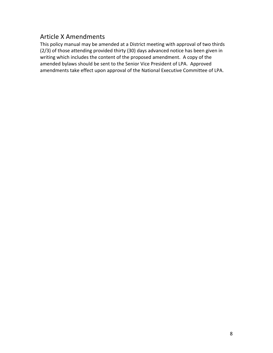# Article X Amendments

This policy manual may be amended at a District meeting with approval of two thirds (2/3) of those attending provided thirty (30) days advanced notice has been given in writing which includes the content of the proposed amendment. A copy of the amended bylaws should be sent to the Senior Vice President of LPA. Approved amendments take effect upon approval of the National Executive Committee of LPA.